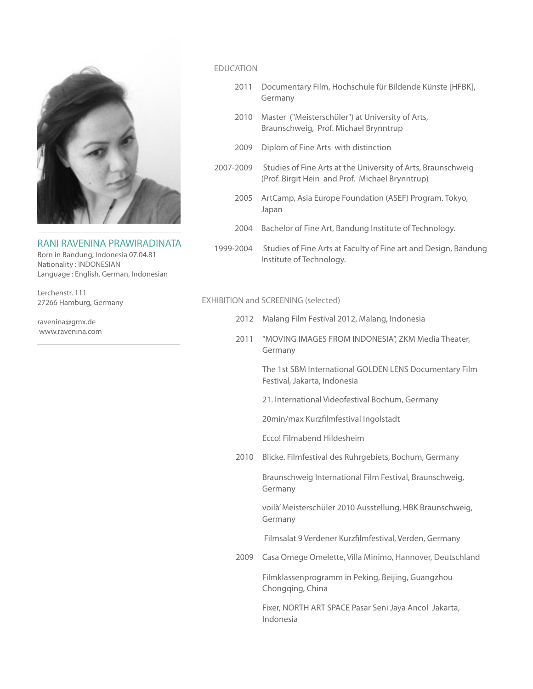

# RANI RAVENINA PRAWIRADINATA

Born in Bandung, Indonesia 07.04.81 Nationality : INDONESIAN Language : English, German, Indonesian

Lerchenstr. 111 27266 Hamburg, Germany

ravenina@gmx.de www.ravenina.com

# EDUCATION

- 2011 Documentary Film, Hochschule für Bildende Künste [HFBK], Germany
- 2010 Master ("Meisterschüler") at University of Arts, Braunschweig, Prof. Michael Brynntrup
- 2009 Diplom of Fine Arts with distinction
- 2007-2009 Studies of Fine Arts at the University of Arts, Braunschweig (Prof. Birgit Hein and Prof. Michael Brynntrup)
	- 2005 ArtCamp, Asia Europe Foundation (ASEF) Program. Tokyo, Japan
	- 2004 Bachelor of Fine Art, Bandung Institute of Technology.
- 1999-2004 Studies of Fine Arts at Faculty of Fine art and Design, Bandung Institute of Technology.

## EXHIBITION and SCREENING (selected)

- 2012 Malang Film Festival 2012, Malang, Indonesia
- 2011 "MOVING IMAGES FROM INDONESIA", ZKM Media Theater, Germany

The 1st SBM International GOLDEN LENS Documentary Film Festival, Jakarta, Indonesia

21. International Videofestival Bochum, Germany

20min/max Kurzfilmfestival Ingolstadt

Ecco! Filmabend Hildesheim

2010 Blicke. Filmfestival des Ruhrgebiets, Bochum, Germany

Braunschweig International Film Festival, Braunschweig, Germany

voilà' Meisterschüler 2010 Ausstellung, HBK Braunschweig, Germany

Filmsalat 9 Verdener Kurzfilmfestival, Verden, Germany

2009 Casa Omege Omelette, Villa Minimo, Hannover, Deutschland

Filmklassenprogramm in Peking, Beijing, Guangzhou Chongqing, China

Fixer, NORTH ART SPACE Pasar Seni Jaya Ancol Jakarta, Indonesia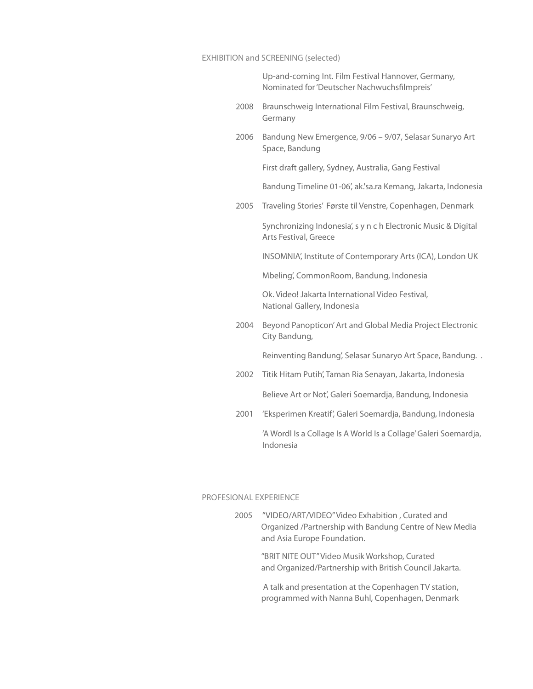### EXHIBITION and SCREENING (selected)

Up-and-coming Int. Film Festival Hannover, Germany, Nominated for 'Deutscher Nachwuchsfilmpreis'

- 2008 Braunschweig International Film Festival, Braunschweig, Germany
- 2006 Bandung New Emergence, 9/06 9/07, Selasar Sunaryo Art Space, Bandung

First draft gallery, Sydney, Australia, Gang Festival

- Bandung Timeline 01-06', ak.'sa.ra Kemang, Jakarta, Indonesia
- 2005 Traveling Stories' Første til Venstre, Copenhagen, Denmark

Synchronizing Indonesia', s y n c h Electronic Music & Digital Arts Festival, Greece

INSOMNIA', Institute of Contemporary Arts (ICA), London UK

Mbeling', CommonRoom, Bandung, Indonesia

Ok. Video! Jakarta International Video Festival, National Gallery, Indonesia

2004 Beyond Panopticon' Art and Global Media Project Electronic City Bandung,

Reinventing Bandung', Selasar Sunaryo Art Space, Bandung. .

2002 Titik Hitam Putih', Taman Ria Senayan, Jakarta, Indonesia

Believe Art or Not', Galeri Soemardja, Bandung, Indonesia

2001 'Eksperimen Kreatif', Galeri Soemardja, Bandung, Indonesia

'A Wordl Is a Collage Is A World Is a Collage' Galeri Soemardja, Indonesia

### PROFESIONAL EXPERIENCE

2005 "VIDEO/ART/VIDEO" Video Exhabition , Curated and Organized /Partnership with Bandung Centre of New Media and Asia Europe Foundation.

> "BRIT NITE OUT" Video Musik Workshop, Curated and Organized/Partnership with British Council Jakarta.

> A talk and presentation at the Copenhagen TV station, programmed with Nanna Buhl, Copenhagen, Denmark